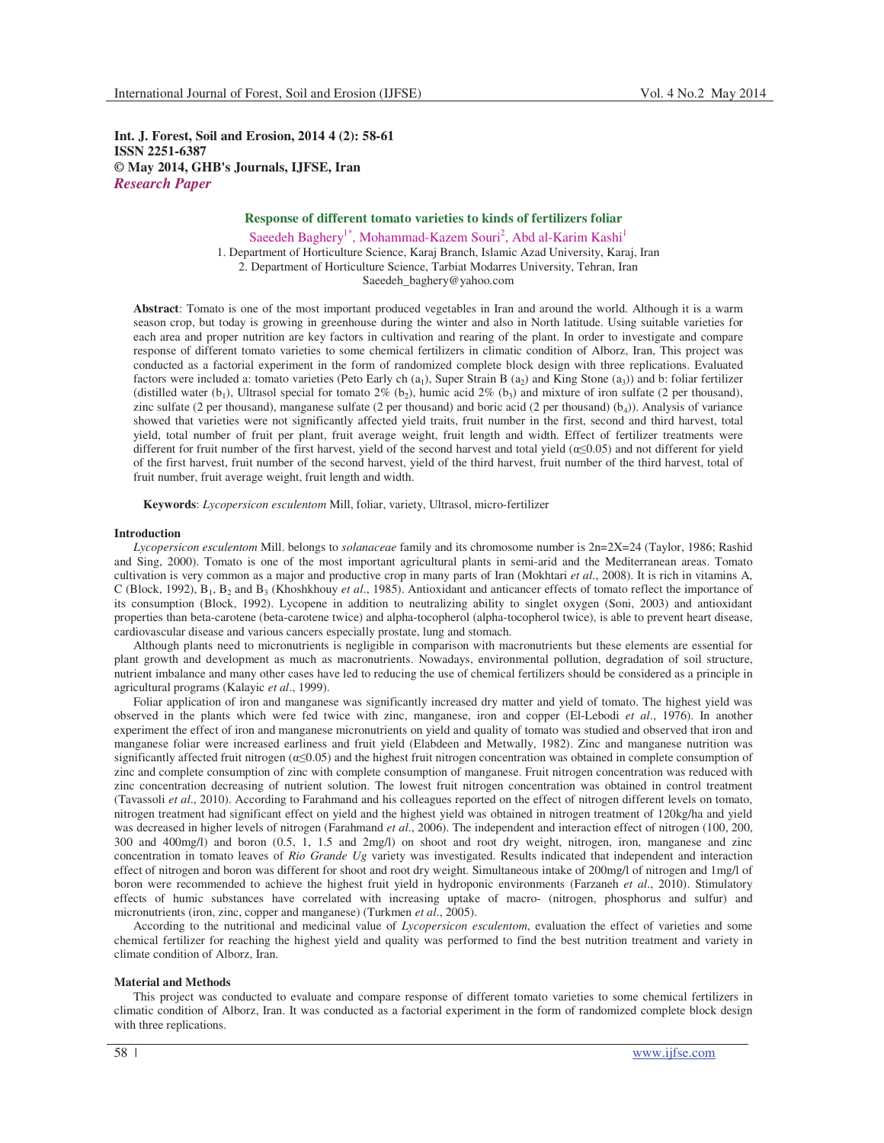**Int. J. Forest, Soil and Erosion, 2014 4 (2): 58-61 ISSN 2251-6387 © May 2014, GHB's Journals, IJFSE, Iran** *Research Paper*

# **Response of different tomato varieties to kinds of fertilizers foliar**

Saeedeh Baghery<sup>1\*</sup>, Mohammad-Kazem Souri<sup>2</sup>, Abd al-Karim Kashi<sup>1</sup> 1. Department of Horticulture Science, Karaj Branch, Islamic Azad University, Karaj, Iran 2. Department of Horticulture Science, Tarbiat Modarres University, Tehran, Iran Saeedeh\_baghery@yahoo.com

**Abstract**: Tomato is one of the most important produced vegetables in Iran and around the world. Although it is a warm season crop, but today is growing in greenhouse during the winter and also in North latitude. Using suitable varieties for each area and proper nutrition are key factors in cultivation and rearing of the plant. In order to investigate and compare response of different tomato varieties to some chemical fertilizers in climatic condition of Alborz, Iran, This project was conducted as a factorial experiment in the form of randomized complete block design with three replications. Evaluated factors were included a: tomato varieties (Peto Early ch (a<sub>1</sub>), Super Strain B (a<sub>2</sub>) and King Stone (a<sub>3</sub>)) and b: foliar fertilizer (distilled water  $(b_1)$ , Ultrasol special for tomato 2%  $(b_2)$ , humic acid 2%  $(b_3)$  and mixture of iron sulfate (2 per thousand), zinc sulfate (2 per thousand), manganese sulfate (2 per thousand) and boric acid (2 per thousand)  $(b_4)$ ). Analysis of variance showed that varieties were not significantly affected yield traits, fruit number in the first, second and third harvest, total yield, total number of fruit per plant, fruit average weight, fruit length and width. Effect of fertilizer treatments were different for fruit number of the first harvest, yield of the second harvest and total yield  $(\alpha \le 0.05)$  and not different for yield of the first harvest, fruit number of the second harvest, yield of the third harvest, fruit number of the third harvest, total of fruit number, fruit average weight, fruit length and width.

**Keywords**: *Lycopersicon esculentom* Mill, foliar, variety, Ultrasol, micro-fertilizer

### **Introduction**

*Lycopersicon esculentom* Mill. belongs to *solanaceae* family and its chromosome number is 2n=2X=24 (Taylor, 1986; Rashid and Sing, 2000). Tomato is one of the most important agricultural plants in semi-arid and the Mediterranean areas. Tomato cultivation is very common as a major and productive crop in many parts of Iran (Mokhtari *et al*., 2008). It is rich in vitamins A, C (Block, 1992), B<sub>1</sub>, B<sub>2</sub> and B<sub>3</sub> (Khoshkhouy *et al.*, 1985). Antioxidant and anticancer effects of tomato reflect the importance of its consumption (Block, 1992). Lycopene in addition to neutralizing ability to singlet oxygen (Soni, 2003) and antioxidant properties than beta-carotene (beta-carotene twice) and alpha-tocopherol (alpha-tocopherol twice), is able to prevent heart disease, cardiovascular disease and various cancers especially prostate, lung and stomach.

Although plants need to micronutrients is negligible in comparison with macronutrients but these elements are essential for plant growth and development as much as macronutrients. Nowadays, environmental pollution, degradation of soil structure, nutrient imbalance and many other cases have led to reducing the use of chemical fertilizers should be considered as a principle in agricultural programs (Kalayic *et al*., 1999).

Foliar application of iron and manganese was significantly increased dry matter and yield of tomato. The highest yield was observed in the plants which were fed twice with zinc, manganese, iron and copper (El-Lebodi *et al*., 1976). In another experiment the effect of iron and manganese micronutrients on yield and quality of tomato was studied and observed that iron and manganese foliar were increased earliness and fruit yield (Elabdeen and Metwally, 1982). Zinc and manganese nutrition was significantly affected fruit nitrogen ( $\alpha \leq 0.05$ ) and the highest fruit nitrogen concentration was obtained in complete consumption of zinc and complete consumption of zinc with complete consumption of manganese. Fruit nitrogen concentration was reduced with zinc concentration decreasing of nutrient solution. The lowest fruit nitrogen concentration was obtained in control treatment (Tavassoli *et al*., 2010). According to Farahmand and his colleagues reported on the effect of nitrogen different levels on tomato, nitrogen treatment had significant effect on yield and the highest yield was obtained in nitrogen treatment of 120kg/ha and yield was decreased in higher levels of nitrogen (Farahmand *et al*., 2006). The independent and interaction effect of nitrogen (100, 200, 300 and 400mg/l) and boron (0.5, 1, 1.5 and 2mg/l) on shoot and root dry weight, nitrogen, iron, manganese and zinc concentration in tomato leaves of *Rio Grande Ug* variety was investigated. Results indicated that independent and interaction effect of nitrogen and boron was different for shoot and root dry weight. Simultaneous intake of 200mg/l of nitrogen and 1mg/l of boron were recommended to achieve the highest fruit yield in hydroponic environments (Farzaneh *et al*., 2010). Stimulatory effects of humic substances have correlated with increasing uptake of macro- (nitrogen, phosphorus and sulfur) and micronutrients (iron, zinc, copper and manganese) (Turkmen *et al*., 2005).

According to the nutritional and medicinal value of *Lycopersicon esculentom*, evaluation the effect of varieties and some chemical fertilizer for reaching the highest yield and quality was performed to find the best nutrition treatment and variety in climate condition of Alborz, Iran.

### **Material and Methods**

This project was conducted to evaluate and compare response of different tomato varieties to some chemical fertilizers in climatic condition of Alborz, Iran. It was conducted as a factorial experiment in the form of randomized complete block design with three replications.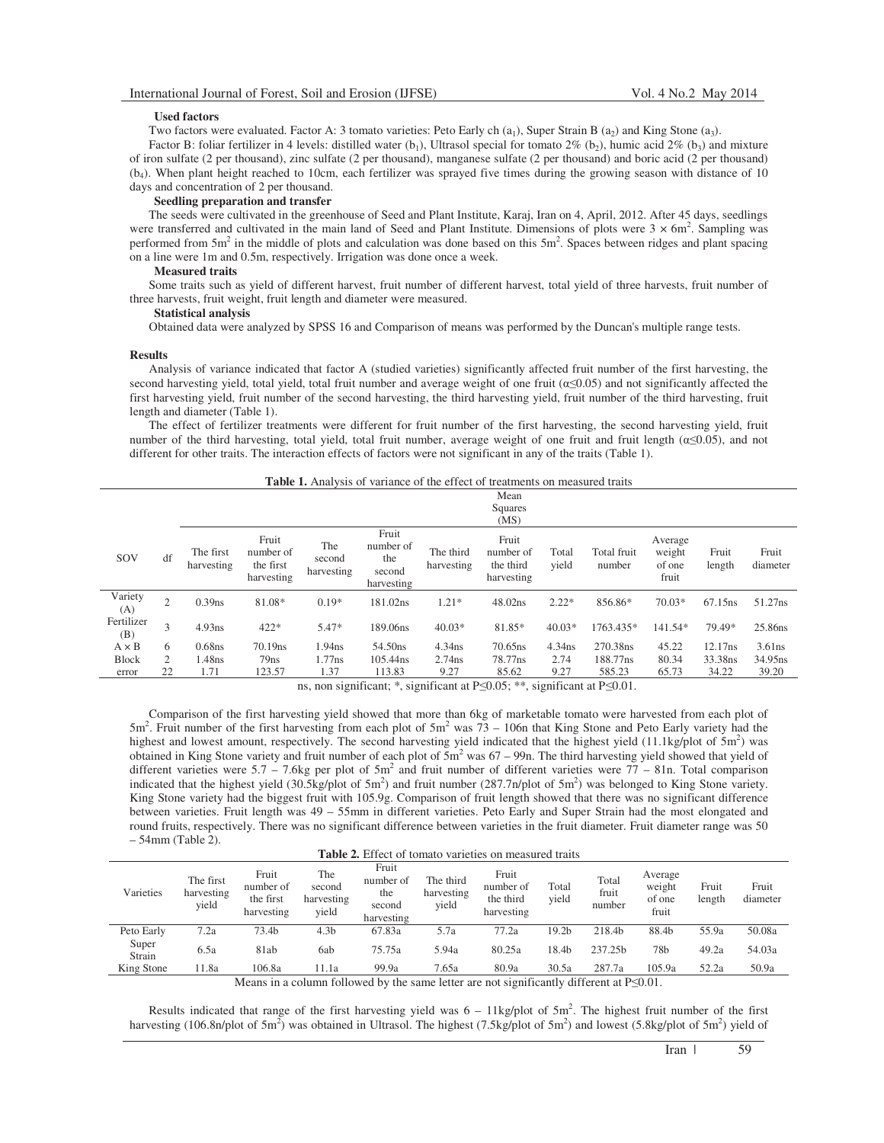### **Used factors**

Two factors were evaluated. Factor A: 3 tomato varieties: Peto Early ch  $(a_1)$ , Super Strain B  $(a_2)$  and King Stone  $(a_3)$ .

Factor B: foliar fertilizer in 4 levels: distilled water  $(b_1)$ , Ultrasol special for tomato  $2\%$   $(b_2)$ , humic acid  $2\%$   $(b_3)$  and mixture of iron sulfate (2 per thousand), zinc sulfate (2 per thousand), manganese sulfate (2 per thousand) and boric acid (2 per thousand) (b<sup>4</sup> ). When plant height reached to 10cm, each fertilizer was sprayed five times during the growing season with distance of 10 days and concentration of 2 per thousand.

#### **Seedling preparation and transfer**

The seeds were cultivated in the greenhouse of Seed and Plant Institute, Karaj, Iran on 4, April, 2012. After 45 days, seedlings were transferred and cultivated in the main land of Seed and Plant Institute. Dimensions of plots were  $3 \times 6$ m<sup>2</sup>. Sampling was performed from  $5m^2$  in the middle of plots and calculation was done based on this  $5m^2$ . Spaces between ridges and plant spacing on a line were 1m and 0.5m, respectively. Irrigation was done once a week.

#### **Measured traits**

Some traits such as yield of different harvest, fruit number of different harvest, total yield of three harvests, fruit number of three harvests, fruit weight, fruit length and diameter were measured.

## **Statistical analysis**

Obtained data were analyzed by SPSS 16 and Comparison of means was performed by the Duncan's multiple range tests.

### **Results**

Analysis of variance indicated that factor A (studied varieties) significantly affected fruit number of the first harvesting, the second harvesting yield, total yield, total fruit number and average weight of one fruit ( $\alpha \le 0.05$ ) and not significantly affected the first harvesting yield, fruit number of the second harvesting, the third harvesting yield, fruit number of the third harvesting, fruit length and diameter (Table 1).

The effect of fertilizer treatments were different for fruit number of the first harvesting, the second harvesting yield, fruit number of the third harvesting, total yield, total fruit number, average weight of one fruit and fruit length  $(\alpha \le 0.05)$ , and not different for other traits. The interaction effects of factors were not significant in any of the traits (Table 1).

|  |  |  | <b>Table 1.</b> Analysis of variance of the effect of treatments on measured traits |
|--|--|--|-------------------------------------------------------------------------------------|
|--|--|--|-------------------------------------------------------------------------------------|

|                   |                |                         |                                               |                             |                                                   |                         | Mean<br>Squares<br>(MS)                       |                |                       |                                      |                     |                     |
|-------------------|----------------|-------------------------|-----------------------------------------------|-----------------------------|---------------------------------------------------|-------------------------|-----------------------------------------------|----------------|-----------------------|--------------------------------------|---------------------|---------------------|
| SOV               | df             | The first<br>harvesting | Fruit<br>number of<br>the first<br>harvesting | The<br>second<br>harvesting | Fruit<br>number of<br>the<br>second<br>harvesting | The third<br>harvesting | Fruit<br>number of<br>the third<br>harvesting | Total<br>vield | Total fruit<br>number | Average<br>weight<br>of one<br>fruit | Fruit<br>length     | Fruit<br>diameter   |
| Variety<br>(A)    | $\overline{c}$ | $0.39$ ns               | 81.08*                                        | $0.19*$                     | 181.02ns                                          | $1.21*$                 | 48.02ns                                       | $2.22*$        | 856.86*               | $70.03*$                             | 67.15 <sub>ns</sub> | 51.27ns             |
| Fertilizer<br>(B) | 3              | 4.93ns                  | $422*$                                        | 5.47*                       | 189.06ns                                          | $40.03*$                | 81.85*                                        | $40.03*$       | 1763.435*             | 141.54*                              | 79.49*              | 25.86ns             |
| $A \times B$      | 6              | $0.68$ ns               | 70.19 <sub>ns</sub>                           | 1.94 <sub>ns</sub>          | 54.50 <sub>ns</sub>                               | $4.34$ ns               | $70.65$ ns                                    | 4.34ns         | 270.38ns              | 45.22                                | 12.17ns             | 3.61ns              |
| <b>Block</b>      | 2              | 1.48ns                  | 79ns                                          | 1.77ns                      | 105.44ns                                          | $2.74$ ns               | 78.77ns                                       | 2.74           | 188.77ns              | 80.34                                | 33.38ns             | 34.95 <sub>ns</sub> |
| error             | 22             | 1.71                    | 123.57                                        | 1.37                        | 113.83                                            | 9.27                    | 85.62                                         | 9.27           | 585.23                | 65.73                                | 34.22               | 39.20               |

ns, non significant; \*, significant at  $P\leq 0.05$ ; \*\*, significant at P $\leq 0.01$ .

Comparison of the first harvesting yield showed that more than 6kg of marketable tomato were harvested from each plot of  $5m^2$ . Fruit number of the first harvesting from each plot of  $5m^2$  was  $73 - 106n$  that King Stone and Peto Early variety had the highest and lowest amount, respectively. The second harvesting yield indicated that the highest yield  $(11.1\text{kg/plot of } 5\text{m}^2)$  was obtained in King Stone variety and fruit number of each plot of  $5m^2$  was  $67 - 99n$ . The third harvesting yield showed that yield of different varieties were  $5.7 - 7.6$ kg per plot of  $5m<sup>2</sup>$  and fruit number of different varieties were  $77 - 81n$ . Total comparison indicated that the highest yield  $(30.5\text{kg}/\text{plot of } 5\text{m}^2)$  and fruit number  $(287.7\text{m}/\text{plot of } 5\text{m}^2)$  was belonged to King Stone variety. King Stone variety had the biggest fruit with 105.9g. Comparison of fruit length showed that there was no significant difference between varieties. Fruit length was 49 – 55mm in different varieties. Peto Early and Super Strain had the most elongated and round fruits, respectively. There was no significant difference between varieties in the fruit diameter. Fruit diameter range was 50 – 54mm (Table 2).

| <b>Table 2.</b> Effect of tomato varieties on measured traits |                                  |                                               |                                      |                                                   |                                  |                                               |                |                          |                                      |                 |                   |
|---------------------------------------------------------------|----------------------------------|-----------------------------------------------|--------------------------------------|---------------------------------------------------|----------------------------------|-----------------------------------------------|----------------|--------------------------|--------------------------------------|-----------------|-------------------|
| Varieties                                                     | The first<br>harvesting<br>yield | Fruit<br>number of<br>the first<br>harvesting | The<br>second<br>harvesting<br>yield | Fruit<br>number of<br>the<br>second<br>harvesting | The third<br>harvesting<br>yield | Fruit<br>number of<br>the third<br>harvesting | Total<br>vield | Total<br>fruit<br>number | Average<br>weight<br>of one<br>fruit | Fruit<br>length | Fruit<br>diameter |
| Peto Early                                                    | 7.2a                             | 73.4b                                         | 4.3b                                 | 67.83a                                            | 5.7a                             | 77.2a                                         | 19.2b          | 218.4b                   | 88.4b                                | 55.9a           | 50.08a            |
| Super<br>Strain                                               | 6.5a                             | 81ab                                          | 6ab                                  | 75.75a                                            | 5.94a                            | 80.25a                                        | 18.4b          | 237.25h                  | 78 <sub>b</sub>                      | 49.2a           | 54.03a            |
| King Stone                                                    | 11.8a                            | 106.8a                                        | 11.1a                                | 99.9a                                             | 7.65a                            | 80.9a                                         | 30.5a          | 287.7a                   | 105.9a                               | 52.2a           | 50.9a             |
|                                                               |                                  |                                               | ---                                  |                                                   |                                  | $\sim$ $\sim$ $\sim$                          |                |                          |                                      |                 |                   |

Means in a column followed by the same letter are not significantly different at  $P \le 0.01$ .

Results indicated that range of the first harvesting yield was  $6 - 11$ kg/plot of  $5m<sup>2</sup>$ . The highest fruit number of the first harvesting (106.8n/plot of  $5m^2$ ) was obtained in Ultrasol. The highest (7.5kg/plot of  $5m^2$ ) and lowest (5.8kg/plot of  $5m^2$ ) yield of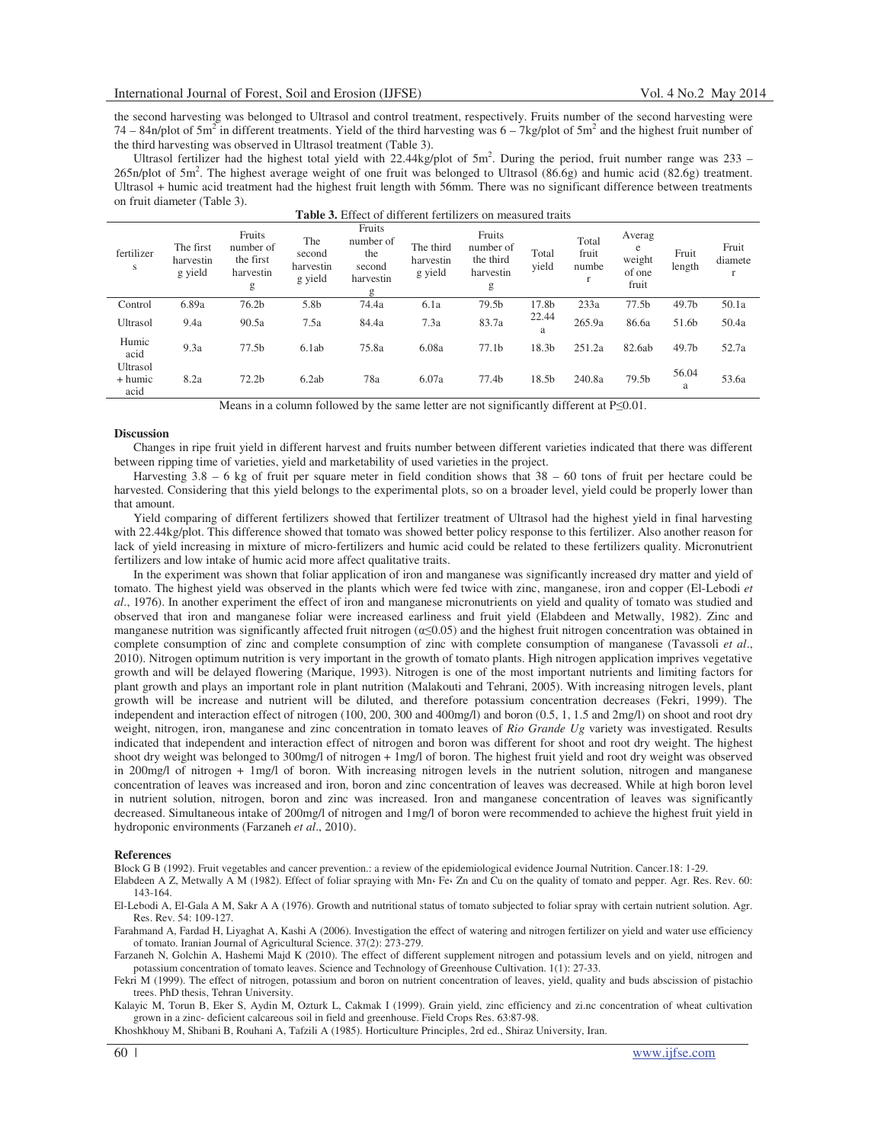the second harvesting was belonged to Ultrasol and control treatment, respectively. Fruits number of the second harvesting were  $74 - 84n/p$  of  $5m<sup>2</sup>$  in different treatments. Yield of the third harvesting was  $6 - 7kg/p$  of  $5m<sup>2</sup>$  and the highest fruit number of the third harvesting was observed in Ultrasol treatment (Table 3).

Ultrasol fertilizer had the highest total yield with  $22.44$ kg/plot of  $5m^2$ . During the period, fruit number range was  $233 265n/p$ lot of  $5m<sup>2</sup>$ . The highest average weight of one fruit was belonged to Ultrasol (86.6g) and humic acid (82.6g) treatment. Ultrasol + humic acid treatment had the highest fruit length with 56mm. There was no significant difference between treatments on fruit diameter (Table 3).

| fertilizer<br>s             | The first<br>harvestin<br>g yield | Fruits<br>number of<br>the first<br>harvestin<br>g | The<br>second<br>harvestin<br>g yield | Fruits<br>number of<br>the<br>second<br>harvestin<br>g | The third<br>harvestin<br>g yield | Fruits<br>number of<br>the third<br>harvestin<br>g | Total<br>vield | Total<br>fruit<br>numbe | Averag<br>e<br>weight<br>of one<br>fruit | Fruit<br>length | Fruit<br>diamete<br>$\mathbf{r}$ |
|-----------------------------|-----------------------------------|----------------------------------------------------|---------------------------------------|--------------------------------------------------------|-----------------------------------|----------------------------------------------------|----------------|-------------------------|------------------------------------------|-----------------|----------------------------------|
| Control                     | 6.89a                             | 76.2 <sub>b</sub>                                  | 5.8b                                  | 74.4a                                                  | 6.1a                              | 79.5b                                              | 17.8b          | 233a                    | 77.5 <sub>b</sub>                        | 49.7b           | 50.1a                            |
| Ultrasol                    | 9.4a                              | 90.5a                                              | 7.5a                                  | 84.4a                                                  | 7.3a                              | 83.7a                                              | 22.44<br>a     | 265.9a                  | 86.6a                                    | 51.6b           | 50.4a                            |
| Humic<br>acid               | 9.3a                              | 77.5 <sub>b</sub>                                  | 6.1ab                                 | 75.8a                                                  | 6.08a                             | 77.1 <sub>b</sub>                                  | 18.3b          | 251.2a                  | 82.6ab                                   | 49.7b           | 52.7a                            |
| Ultrasol<br>+ humic<br>acid | 8.2a                              | 72.2 <sub>b</sub>                                  | 6.2ab                                 | 78a                                                    | 6.07a                             | 77.4b                                              | 18.5b          | 240.8a                  | 79.5b                                    | 56.04<br>a      | 53.6a                            |

| <b>Table 3.</b> Effect of different fertilizers on measured traits |  |
|--------------------------------------------------------------------|--|
|--------------------------------------------------------------------|--|

Means in a column followed by the same letter are not significantly different at  $P \le 0.01$ .

### **Discussion**

Changes in ripe fruit yield in different harvest and fruits number between different varieties indicated that there was different between ripping time of varieties, yield and marketability of used varieties in the project.

Harvesting  $3.8 - 6$  kg of fruit per square meter in field condition shows that  $38 - 60$  tons of fruit per hectare could be harvested. Considering that this yield belongs to the experimental plots, so on a broader level, yield could be properly lower than that amount.

Yield comparing of different fertilizers showed that fertilizer treatment of Ultrasol had the highest yield in final harvesting with 22.44kg/plot. This difference showed that tomato was showed better policy response to this fertilizer. Also another reason for lack of yield increasing in mixture of micro-fertilizers and humic acid could be related to these fertilizers quality. Micronutrient fertilizers and low intake of humic acid more affect qualitative traits.

In the experiment was shown that foliar application of iron and manganese was significantly increased dry matter and yield of tomato. The highest yield was observed in the plants which were fed twice with zinc, manganese, iron and copper (El-Lebodi *et al*., 1976). In another experiment the effect of iron and manganese micronutrients on yield and quality of tomato was studied and observed that iron and manganese foliar were increased earliness and fruit yield (Elabdeen and Metwally, 1982). Zinc and manganese nutrition was significantly affected fruit nitrogen  $(\alpha \le 0.05)$  and the highest fruit nitrogen concentration was obtained in complete consumption of zinc and complete consumption of zinc with complete consumption of manganese (Tavassoli *et al*., 2010). Nitrogen optimum nutrition is very important in the growth of tomato plants. High nitrogen application imprives vegetative growth and will be delayed flowering (Marique, 1993). Nitrogen is one of the most important nutrients and limiting factors for plant growth and plays an important role in plant nutrition (Malakouti and Tehrani, 2005). With increasing nitrogen levels, plant growth will be increase and nutrient will be diluted, and therefore potassium concentration decreases (Fekri, 1999). The independent and interaction effect of nitrogen (100, 200, 300 and 400mg/l) and boron (0.5, 1, 1.5 and 2mg/l) on shoot and root dry weight, nitrogen, iron, manganese and zinc concentration in tomato leaves of *Rio Grande Ug* variety was investigated. Results indicated that independent and interaction effect of nitrogen and boron was different for shoot and root dry weight. The highest shoot dry weight was belonged to 300mg/l of nitrogen + 1mg/l of boron. The highest fruit yield and root dry weight was observed in 200mg/l of nitrogen + 1mg/l of boron. With increasing nitrogen levels in the nutrient solution, nitrogen and manganese concentration of leaves was increased and iron, boron and zinc concentration of leaves was decreased. While at high boron level in nutrient solution, nitrogen, boron and zinc was increased. Iron and manganese concentration of leaves was significantly decreased. Simultaneous intake of 200mg/l of nitrogen and 1mg/l of boron were recommended to achieve the highest fruit yield in hydroponic environments (Farzaneh *et al*., 2010).

#### **References**

Block G B (1992). Fruit vegetables and cancer prevention.: a review of the epidemiological evidence Journal Nutrition. Cancer.18: 1-29.

Elabdeen A Z, Metwally A M (1982). Effect of foliar spraying with Mn Fe Zn and Cu on the quality of tomato and pepper. Agr. Res. Rev. 60: 143-164.

El-Lebodi A, El-Gala A M, Sakr A A (1976). Growth and nutritional status of tomato subjected to foliar spray with certain nutrient solution. Agr. Res. Rev. 54: 109-127.

Farahmand A, Fardad H, Liyaghat A, Kashi A (2006). Investigation the effect of watering and nitrogen fertilizer on yield and water use efficiency of tomato. Iranian Journal of Agricultural Science. 37(2): 273-279.

Farzaneh N, Golchin A, Hashemi Majd K (2010). The effect of different supplement nitrogen and potassium levels and on yield, nitrogen and potassium concentration of tomato leaves. Science and Technology of Greenhouse Cultivation. 1(1): 27-33.

Fekri M (1999). The effect of nitrogen, potassium and boron on nutrient concentration of leaves, yield, quality and buds abscission of pistachio trees. PhD thesis, Tehran University.

Kalayic M, Torun B, Eker S, Aydin M, Ozturk L, Cakmak I (1999). Grain yield, zinc efficiency and zi.nc concentration of wheat cultivation grown in a zinc- deficient calcareous soil in field and greenhouse. Field Crops Res. 63:87-98.

Khoshkhouy M, Shibani B, Rouhani A, Tafzili A (1985). Horticulture Principles, 2rd ed., Shiraz University, Iran.